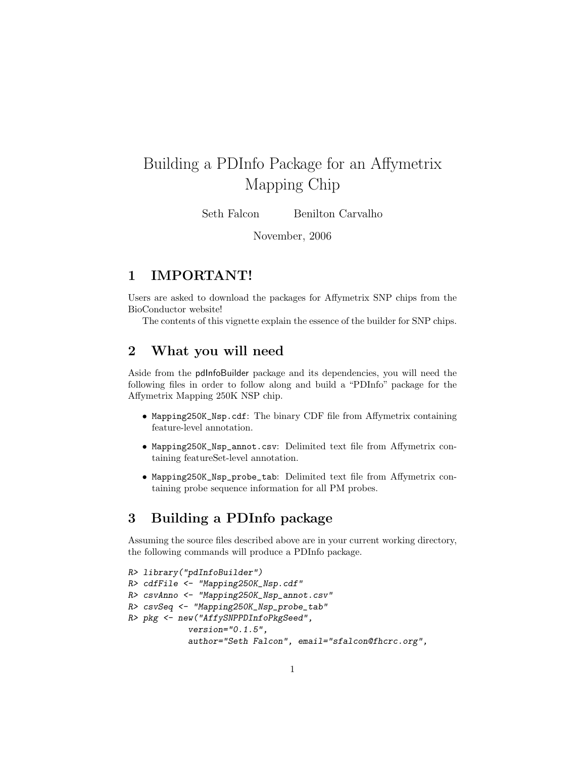## Building a PDInfo Package for an Affymetrix Mapping Chip

Seth Falcon Benilton Carvalho

November, 2006

## 1 IMPORTANT!

Users are asked to download the packages for Affymetrix SNP chips from the BioConductor website!

The contents of this vignette explain the essence of the builder for SNP chips.

## 2 What you will need

Aside from the pdInfoBuilder package and its dependencies, you will need the following files in order to follow along and build a "PDInfo" package for the Affymetrix Mapping 250K NSP chip.

- Mapping250K\_Nsp.cdf: The binary CDF file from Affymetrix containing feature-level annotation.
- Mapping250K\_Nsp\_annot.csv: Delimited text file from Affymetrix containing featureSet-level annotation.
- Mapping250K\_Nsp\_probe\_tab: Delimited text file from Affymetrix containing probe sequence information for all PM probes.

## 3 Building a PDInfo package

Assuming the source files described above are in your current working directory, the following commands will produce a PDInfo package.

```
R> library("pdInfoBuilder")
R> cdfFile <- "Mapping250K_Nsp.cdf"
R> csvAnno <- "Mapping250K_Nsp_annot.csv"
R> csvSeq <- "Mapping250K_Nsp_probe_tab"
R> pkg <- new("AffySNPPDInfoPkgSeed",
            version="0.1.5",
            author="Seth Falcon", email="sfalcon@fhcrc.org",
```